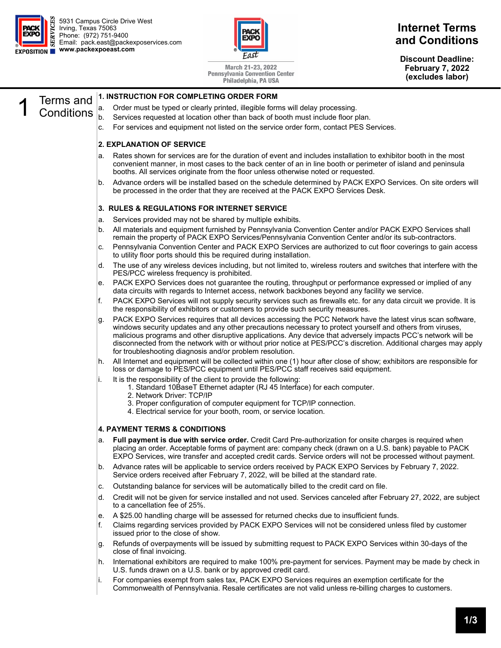

5931 Campus Circle Drive West Irving, Texas 75063 Phone: (972) 751-9400 Email: pack.east@packexposervices.com **www.packexpoeast.com** 



March 21-23, 2022 **Pennsylvania Convention Center** Philadelphia, PA USA

### **Internet Terms and Conditions**

**Discount Deadline: February 7, 2022 (excludes labor)** 

# 1 Terms and Conditions

#### **1. INSTRUCTION FOR COMPLETING ORDER FORM**

- a. Order must be typed or clearly printed, illegible forms will delay processing.
- b. Services requested at location other than back of booth must include floor plan.
- c. For services and equipment not listed on the service order form, contact PES Services.

#### **2. EXPLANATION OF SERVICE**

- a. Rates shown for services are for the duration of event and includes installation to exhibitor booth in the most convenient manner, in most cases to the back center of an in line booth or perimeter of island and peninsula booths. All services originate from the floor unless otherwise noted or requested.
- b. Advance orders will be installed based on the schedule determined by PACK EXPO Services. On site orders will be processed in the order that they are received at the PACK EXPO Services Desk.

#### **3. RULES & REGULATIONS FOR INTERNET SERVICE**

- a. Services provided may not be shared by multiple exhibits.
- b. All materials and equipment furnished by Pennsylvania Convention Center and/or PACK EXPO Services shall remain the property of PACK EXPO Services/Pennsylvania Convention Center and/or its sub-contractors.
- c. Pennsylvania Convention Center and PACK EXPO Services are authorized to cut floor coverings to gain access to utility floor ports should this be required during installation.
- d. The use of any wireless devices including, but not limited to, wireless routers and switches that interfere with the PES/PCC wireless frequency is prohibited.
- e. PACK EXPO Services does not guarantee the routing, throughput or performance expressed or implied of any data circuits with regards to Internet access, network backbones beyond any facility we service.
- f. PACK EXPO Services will not supply security services such as firewalls etc. for any data circuit we provide. It is the responsibility of exhibitors or customers to provide such security measures.
- g. PACK EXPO Services requires that all devices accessing the PCC Network have the latest virus scan software, windows security updates and any other precautions necessary to protect yourself and others from viruses, malicious programs and other disruptive applications. Any device that adversely impacts PCC's network will be disconnected from the network with or without prior notice at PES/PCC's discretion. Additional charges may apply for troubleshooting diagnosis and/or problem resolution.
- h. All Internet and equipment will be collected within one (1) hour after close of show; exhibitors are responsible for loss or damage to PES/PCC equipment until PES/PCC staff receives said equipment.
- i. It is the responsibility of the client to provide the following:
	- 1. Standard 10BaseT Ethernet adapter (RJ 45 Interface) for each computer.
	- 2. Network Driver: TCP/IP
	- 3. Proper configuration of computer equipment for TCP/IP connection.
	- 4. Electrical service for your booth, room, or service location.

#### **4. PAYMENT TERMS & CONDITIONS**

- a. **Full payment is due with service order.** Credit Card Pre-authorization for onsite charges is required when placing an order. Acceptable forms of payment are: company check (drawn on a U.S. bank) payable to PACK EXPO Services, wire transfer and accepted credit cards. Service orders will not be processed without payment.
- b. Advance rates will be applicable to service orders received by PACK EXPO Services by February 7, 2022. Service orders received after February 7, 2022, will be billed at the standard rate.
- c. Outstanding balance for services will be automatically billed to the credit card on file.
- d. Credit will not be given for service installed and not used. Services canceled after February 27, 2022, are subject to a cancellation fee of 25%.
- e. A \$25.00 handling charge will be assessed for returned checks due to insufficient funds.
- f. Claims regarding services provided by PACK EXPO Services will not be considered unless filed by customer issued prior to the close of show.
- g. Refunds of overpayments will be issued by submitting request to PACK EXPO Services within 30-days of the close of final invoicing.
- h. International exhibitors are required to make 100% pre-payment for services. Payment may be made by check in U.S. funds drawn on a U.S. bank or by approved credit card.
- i. For companies exempt from sales tax, PACK EXPO Services requires an exemption certificate for the Commonwealth of Pennsylvania. Resale certificates are not valid unless re-billing charges to customers.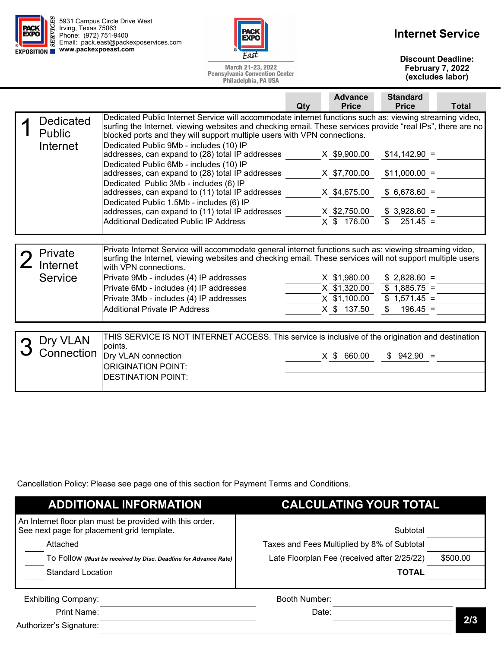| <b>PACK</b>       |  | 5931 Campus Circle Drive West<br><b>DESPENSIVE SERVICE DESCRIPSIVE SERVICE DESPENSIVE SERVICE SERVICE SERVICE SERVICE SERVICE SERVICE SERVICE SERV</b><br><b>EXPRESSIVE SERVICE SERVICE SERVICE SERVICE SERVICE SERVICE SERVICE SERVICE SERVICE SERVICE SERVICE SERVICE </b><br>S Email: pack.east@packexposervices.com |
|-------------------|--|-------------------------------------------------------------------------------------------------------------------------------------------------------------------------------------------------------------------------------------------------------------------------------------------------------------------------|
| <b>EXPOSITION</b> |  | www.packexpoeast.com                                                                                                                                                                                                                                                                                                    |



## **Internet Service**

**Discount Deadline: February 7, 2022 (excludes labor)** 

| March 21-23, 2022                     |
|---------------------------------------|
| <b>Pennsylvania Convention Center</b> |
| Philadelphia, PA USA                  |

|                                        | <b>Standard</b><br><b>Advance</b><br><b>Price</b><br><b>Total</b><br>Qty<br><b>Price</b>                                                                                                                                                                                                                                                                                                                                                                                                                                                                                                                                                                                                                                                                                                                                                                                                                                |
|----------------------------------------|-------------------------------------------------------------------------------------------------------------------------------------------------------------------------------------------------------------------------------------------------------------------------------------------------------------------------------------------------------------------------------------------------------------------------------------------------------------------------------------------------------------------------------------------------------------------------------------------------------------------------------------------------------------------------------------------------------------------------------------------------------------------------------------------------------------------------------------------------------------------------------------------------------------------------|
| Dedicated<br><b>Public</b><br>Internet | Dedicated Public Internet Service will accommodate internet functions such as: viewing streaming video,<br>surfing the Internet, viewing websites and checking email. These services provide "real IPs", there are no<br>blocked ports and they will support multiple users with VPN connections.<br>Dedicated Public 9Mb - includes (10) IP<br>X \$9,900.00<br>addresses, can expand to (28) total IP addresses<br>$$14,142.90 =$<br>Dedicated Public 6Mb - includes (10) IP<br>addresses, can expand to (28) total IP addresses<br>X \$7,700.00<br>$$11,000.00 =$<br>Dedicated Public 3Mb - includes (6) IP<br>addresses, can expand to (11) total IP addresses<br>$$6,678.60 =$<br>X \$4,675.00<br>Dedicated Public 1.5Mb - includes (6) IP<br>addresses, can expand to (11) total IP addresses<br>X \$2,750.00<br>$$3,928.60 =$<br>X \$ 176.00<br>\$<br>$251.45 =$<br><b>Additional Dedicated Public IP Address</b> |
|                                        |                                                                                                                                                                                                                                                                                                                                                                                                                                                                                                                                                                                                                                                                                                                                                                                                                                                                                                                         |
| Private<br>Internet<br><b>Service</b>  | Private Internet Service will accommodate general internet functions such as: viewing streaming video,<br>surfing the Internet, viewing websites and checking email. These services will not support multiple users<br>with VPN connections.<br>Private 9Mb - includes (4) IP addresses<br>X \$1,980.00<br>$$2,828.60 =$<br>$$1,885.75 =$<br>X \$1,320.00<br>Private 6Mb - includes (4) IP addresses<br>X \$1,100.00<br>$$1,571.45 =$<br>Private 3Mb - includes (4) IP addresses<br><b>Additional Private IP Address</b><br>X \$ 137.50<br>\$<br>$196.45 =$                                                                                                                                                                                                                                                                                                                                                             |
|                                        |                                                                                                                                                                                                                                                                                                                                                                                                                                                                                                                                                                                                                                                                                                                                                                                                                                                                                                                         |
| Dry VLAN<br>Connection                 | THIS SERVICE IS NOT INTERNET ACCESS. This service is inclusive of the origination and destination<br>points.<br>Dry VLAN connection<br>X \$ 660.00<br>$$942.90 =$<br><b>ORIGINATION POINT:</b><br><b>DESTINATION POINT:</b>                                                                                                                                                                                                                                                                                                                                                                                                                                                                                                                                                                                                                                                                                             |

Cancellation Policy: Please see page one of this section for Payment Terms and Conditions.

| <b>ADDITIONAL INFORMATION</b>                                                                          | <b>CALCULATING YOUR TOTAL</b>               |          |
|--------------------------------------------------------------------------------------------------------|---------------------------------------------|----------|
| An Internet floor plan must be provided with this order.<br>See next page for placement grid template. | Subtotal                                    |          |
| Attached                                                                                               | Taxes and Fees Multiplied by 8% of Subtotal |          |
| TO FOIIOW (Must be received by Disc. Deadline for Advance Rate)                                        | Late Floorplan Fee (received after 2/25/22) | \$500.00 |
| <b>Standard Location</b>                                                                               | <b>TOTAL</b>                                |          |
|                                                                                                        |                                             |          |
| <b>Exhibiting Company:</b>                                                                             | Booth Number:                               |          |
| Print Name:                                                                                            | Date:                                       | 2/3      |
| Authorizer's Signature:                                                                                |                                             |          |